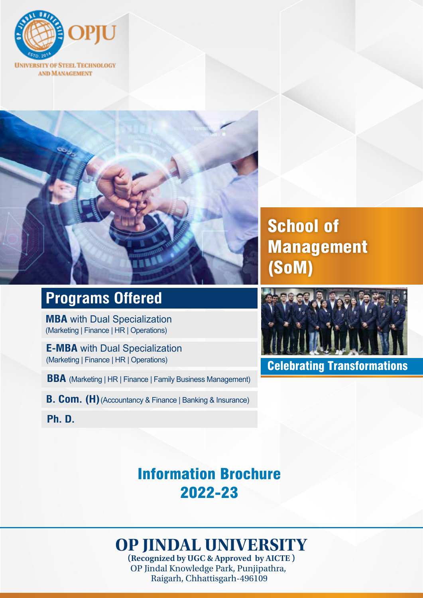



## **Programs Offered**

**MBA** with Dual Specialization (Marketing | Finance | HR | Operations)

**E-MBA** with Dual Specialization (Marketing | Finance | HR | Operations)

**BBA** (Marketing | HR | Finance | Family Business Management)

**B. Com. (H)** (Accountancy & Finance | Banking & Insurance)

**Ph. D.**

School of Management (SoM)



Celebrating Transformations

## Information Brochure 2022-23

# **OP JINDAL UNIVERSITY**

**(Recognized by UGC & Approved by AICTE )** OP Jindal Knowledge Park, Punjipathra, Raigarh, Chhattisgarh-496109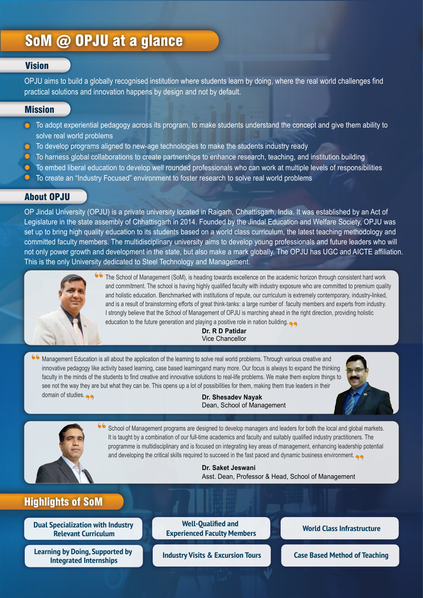### SoM @ OPJU at a glance

#### **Vision**

OPJU aims to build a globally recognised institution where students learn by doing, where the real world challenges find practical solutions and innovation happens by design and not by default.

#### **Mission**

- **O** To adopt experiential pedagogy across its program, to make students understand the concept and give them ability to solve real world problems
- **C** To develop programs aligned to new-age technologies to make the students industry ready
- **O** To harness global collaborations to create partnerships to enhance research, teaching, and institution building
- **O** To embed liberal education to develop well rounded professionals who can work at multiple levels of responsibilities
- To create an "Industry Focused" environment to foster research to solve real world problems

#### About OPJU

OP Jindal University (OPJU) is a private university located in Raigarh, Chhattisgarh, India. It was established by an Act of Legislature in the state assembly of Chhattisgarh in 2014. Founded by the Jindal Education and Welfare Society, OPJU was set up to bring high quality education to its students based on a world class curriculum, the latest teaching methodology and committed faculty members. The multidisciplinary university aims to develop young professionals and future leaders who will not only power growth and development in the state, but also make a mark globally. The OPJU has UGC and AICTE affiliation. This is the only University dedicated to Steel Technology and Management.



The School of Management (SoM), is heading towards excellence on the academic horizon through consistent hard work and commitment. The school is having highly qualified faculty with industry exposure who are committed to premium quality and holistic education. Benchmarked with institutions of repute, our curriculum is extremely contemporary, industry-linked, and is a result of brainstorming efforts of great think-tanks: a large number of faculty members and experts from industry. I strongly believe that the School of Management of OPJU is marching ahead in the right direction, providing holistic education to the future generation and playing a positive role in nation building.

> **Dr. R D Patidar** Vice Chancellor

Management Education is all about the application of the learning to solve real world problems. Through various creative and innovative pedagogy like activity based learning, case based learningand many more. Our focus is always to expand the thinking faculty in the minds of the students to find creative and innovative solutions to real-life problems. We make them explore things to see not the way they are but what they can be. This opens up a lot of possibilities for them, making them true leaders in their domain of studies.

**Dr. Shesadev Nayak** Dean, School of Management



School of Management programs are designed to develop managers and leaders for both the local and global markets. It is taught by a combination of our full-time academics and faculty and suitably qualified industry practitioners. The programme is multidisciplinary and is focused on integrating key areas of management, enhancing leadership potential and developing the critical skills required to succeed in the fast paced and dynamic business environment.

> **Dr. Saket Jeswani** Asst. Dean, Professor & Head, School of Management

### Highlights of SoM

**Dual Specialization with Industry Relevant Curriculum**

**Learning by Doing, Supported by Integrated Internships Industry Visits & Excursion Tours Case Based Method of Teaching**

**Well-Qualified and Experienced Faculty Members World Class Infrastructure**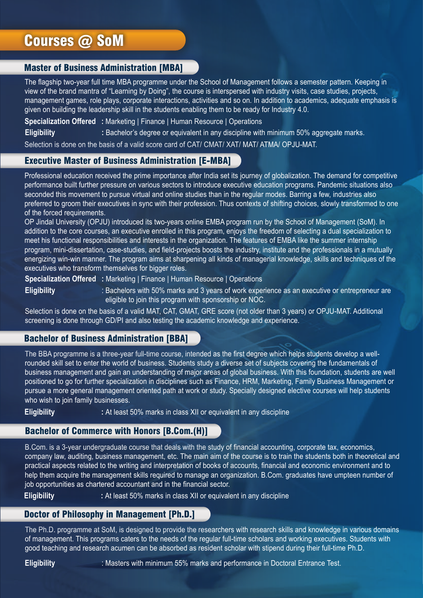### Courses @ SoM

#### Master of Business Administration [MBA]

The flagship two-year full time MBA programme under the School of Management follows a semester pattern. Keeping in view of the brand mantra of "Learning by Doing", the course is interspersed with industry visits, case studies, projects, management games, role plays, corporate interactions, activities and so on. In addition to academics, adequate emphasis is given on building the leadership skill in the students enabling them to be ready for Industry 4.0.

**Specialization Offered :** Marketing | Finance | Human Resource | Operations

**Eligibility : Bachelor's degree or equivalent in any discipline with minimum 50% aggregate marks.** 

Selection is done on the basis of a valid score card of CAT/ CMAT/ XAT/ MAT/ ATMA/ OPJU-MAT.

#### Executive Master of Business Administration [E-MBA]

Professional education received the prime importance after India set its journey of globalization. The demand for competitive performance built further pressure on various sectors to introduce executive education programs. Pandemic situations also seconded this movement to pursue virtual and online studies than in the regular modes. Barring a few, industries also preferred to groom their executives in sync with their profession. Thus contexts of shifting choices, slowly transformed to one of the forced requirements.

OP Jindal University (OPJU) introduced its two-years online EMBA program run by the School of Management (SoM). In addition to the core courses, an executive enrolled in this program, enjoys the freedom of selecting a dual specialization to meet his functional responsibilities and interests in the organization. The features of EMBA like the summer internship program, mini-dissertation, case-studies, and field-projects boosts the industry, institute and the professionals in a mutually energizing win-win manner. The program aims at sharpening all kinds of managerial knowledge, skills and techniques of the executives who transform themselves for bigger roles.

**Specialization Offered :** Marketing | Finance | Human Resource | Operations

**Eligibility** : Bachelors with 50% marks and 3 years of work experience as an executive or entrepreneur are eligible to join this program with sponsorship or NOC.

Selection is done on the basis of a valid MAT, CAT, GMAT, GRE score (not older than 3 years) or OPJU-MAT. Additional screening is done through GD/PI and also testing the academic knowledge and experience.

#### Bachelor of Business Administration [BBA]

The BBA programme is a three-year full-time course, intended as the first degree which helps students develop a wellrounded skill set to enter the world of business. Students study a diverse set of subjects covering the fundamentals of business management and gain an understanding of major areas of global business. With this foundation, students are well positioned to go for further specialization in disciplines such as Finance, HRM, Marketing, Family Business Management or pursue a more general management oriented path at work or study. Specially designed elective courses will help students who wish to join family businesses.

**Eligibility** : At least 50% marks in class XII or equivalent in any discipline

#### Bachelor of Commerce with Honors [B.Com.(H)]

B.Com. is a 3-year undergraduate course that deals with the study of financial accounting, corporate tax, economics, company law, auditing, business management, etc. The main aim of the course is to train the students both in theoretical and practical aspects related to the writing and interpretation of books of accounts, financial and economic environment and to help them acquire the management skills required to manage an organization. B.Com. graduates have umpteen number of job opportunities as chartered accountant and in the financial sector.

**Eligibility** : At least 50% marks in class XII or equivalent in any discipline

#### Doctor of Philosophy in Management [Ph.D.]

The Ph.D. programme at SoM, is designed to provide the researchers with research skills and knowledge in various domains of management. This programs caters to the needs of the regular full-time scholars and working executives. Students with good teaching and research acumen can be absorbed as resident scholar with stipend during their full-time Ph.D.

**Eligibility** : Masters with minimum 55% marks and performance in Doctoral Entrance Test.